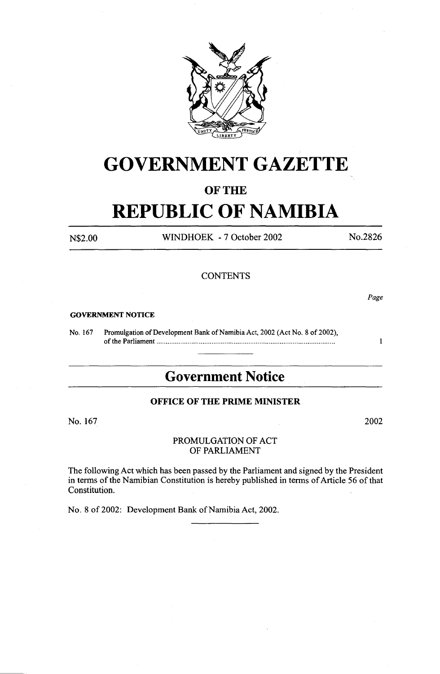

# **GOVERNMENT GAZETTE**

# **OF THE**

# **REPUBLIC OF NAMIBIA**

N\$2.00 WINDHOEK -7 October 2002

No.2826

# **CONTENTS**

*Page* 

 $\mathbf{1}$ 

#### **GOVERNMENT NOTICE**

No. 167 Promulgation of Development Bank of Namibia Act, 2002 (Act No. 8 of 2002), of the Parliament ................................................................................................ .

# **Government Notice**

# **OFFICE OF THE PRIME MINISTER**

No. 167

2002

### PROMULGATION OF ACT OF PARLIAMENT

The following Act which has been passed by the Parliament and signed by the President in terms of the Namibian Constitution is hereby published in terms of Article 56 of that Constitution.

No. 8 of 2002: Development Bank of Namibia Act, 2002.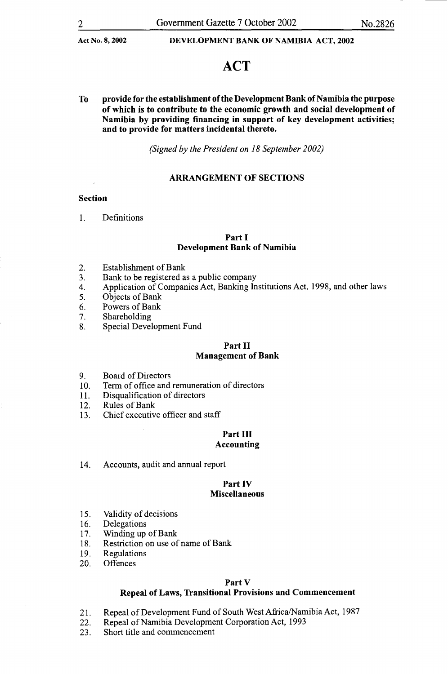# **ACT**

To provide for the establishment ofthe Development Bank of Namibia the purpose of which is to contribute to the economic growth and social development of Namibia by providing financing in support of key development activities; and to provide for matters incidental thereto.

*(Signed by the President on 18 September 2002)* 

## ARRANGEMENT OF SECTIONS

#### Section

1. Definitions

### Part I Development Bank of Namibia

- 2. Establishment of Bank
- 3. Bank to be registered as a public company
- 4. Application of Companies Act, Banking Institutions Act, 1998, and other laws
- 5. Objects of Bank
- 6. Powers of Bank
- 7. Shareholding
- 8. Special Development Fund

#### Part II Management of Bank

- 9. Board of Directors
- 10. Term of office and remuneration of directors
- 11. Disqualification of directors
- 12. Rules of Bank
- 13. Chief executive officer and staff

#### Part III Accounting

14. Accounts, audit and annual report

# Part IV Miscellaneous

- 15. Validity of decisions
- 16. Delegations
- 17. Winding up of Bank
- 18. Restriction on use of name of Bank.
- 19. Regulations<br>20. Offences
- Offences

#### Part V

## Repeal of Laws, Transitional Provisions and Commencement

- 21. Repeal of Development Fund of South West Africa/Namibia Act, 1987
- 22. Repeal of Namibia Development Corporation Act, 1993
- 23. Short title and commencement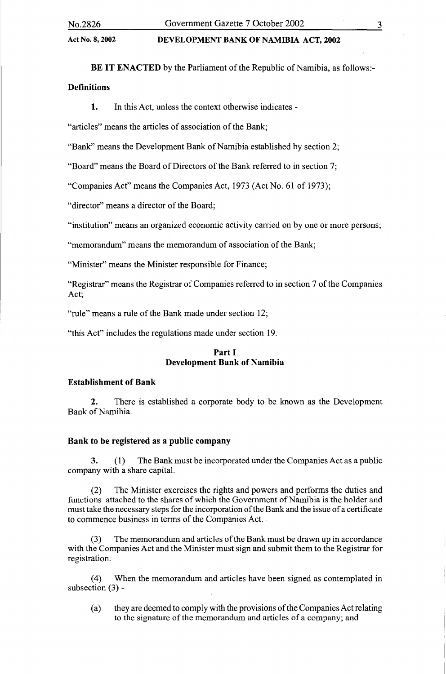BE IT ENACTED by the Parliament of the Republic of Namibia, as follows:-Definitions

1. In this Act, unless the context otherwise indicates -

"articles" means the articles of association of the Bank;

"Bank" means the Development Bank of Namibia established by section 2:

"Board" means the Board of Directors of the Bank referred to in section 7;

"Companies Act" means the Companies Act, 1973 (Act No. 61 of 1973);

"director" means a director of the Board;

"institution" means an organized economic activity carried on by one or more persons;

"memorandum" means the memorandum of association of the Bank;

"Minister" means the Minister responsible for Finance;

"Registrar" means the Registrar of Companies referred to in section 7 of the Companies Act;

"rule" means a rule of the Bank made under section 12;

"this Act" includes the regulations made under section 19.

# Part I Development Bank of Namibia

### Establishment of Bank

2. There is established a corporate body to be known as the Development Bank of Namibia.

#### Bank to be registered as a public company

3. ( 1) The Bank must be incorporated under the Companies Act as a public company with a share capital.

(2) The Minister exercises the rights and powers and performs the duties and functions attached to the shares of which the Government of Namibia is the holder and must take the necessary steps for the incorporation of the Bank and the issue of a certificate to commence business in terms of the Companies Act.

The memorandum and articles of the Bank must be drawn up in accordance with the Companies Act and the Minister must sign and submit them to the Registrar for registration.

(4) When the memorandum and articles have been signed as contemplated in subsection (3) -

(a) they are deemed to comply with the provisions of the Companies Act relating to the signature of the memorandum and articles of a company; and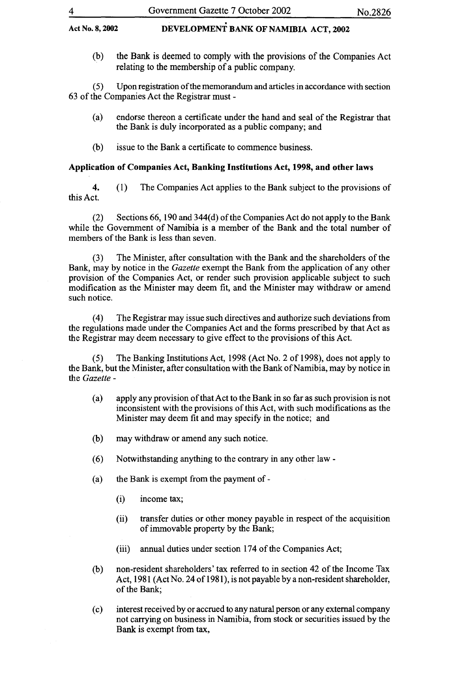(b) the Bank is deemed to comply with the provisions of the Companies Act relating to the membership of a public company.

( 5) Upon registration of the memorandum and articles in accordance with section 63 of the Companies Act the Registrar must-

- (a) endorse thereon a certificate under the hand and seal of the Registrar that the Bank is duly incorporated as a public company; and
- (b) issue to the Bank a certificate to commence business.

# Application of Companies Act, Banking Institutions Act, 1998, and other laws

4. (1) The Companies Act applies to the Bank subject to the provisions of this Act.

(2) Sections 66, 190 and 344(d) of the Companies Act do not apply to the Bank while the Government of Namibia is a member of the Bank and the total number of members of the Bank is less than seven.

(3) The Minister, after consultation with the Bank and the shareholders of the Bank, may by notice in the *Gazette* exempt the Bank from the application of any other provision of the Companies Act, or render such provision applicable subject to such modification as the Minister may deem fit, and the Minister may withdraw or amend such notice.

( 4) The Registrar may issue such directives and authorize such deviations from the regulations made under the Companies Act and the forms prescribed by that Act as the Registrar may deem necessary to give effect to the provisions of this Act.

The Banking Institutions Act, 1998 (Act No. 2 of 1998), does not apply to the Bank, but the Minister, after consultation with the Bank of Namibia, may by notice in the *Gazette* -

- (a) apply any provision of that Act to the Bank in so far as such provision is not inconsistent with the provisions of this Act, with such modifications as the Minister may deem fit and may specify in the notice; and
- (b) may withdraw or amend any such notice.
- (6) Notwithstanding anything to the contrary in any other law-
- (a) the Bank is exempt from the payment of-
	- (i) income tax;
	- (ii) transfer duties or other money payable in respect of the acquisition of immovable property by the Bank;
	- (iii) annual duties under section 174 of the Companies Act;
- (b) non-resident shareholders' tax referred to in section 42 of the Income Tax Act, 1981 (Act No. 24 of 1981), is not payable by a non-resident shareholder, of the Bank;
- (c) interest received by or accrued to any natural person or any external company not carrying on business in Namibia, from stock or securities issued by the Bank is exempt from tax,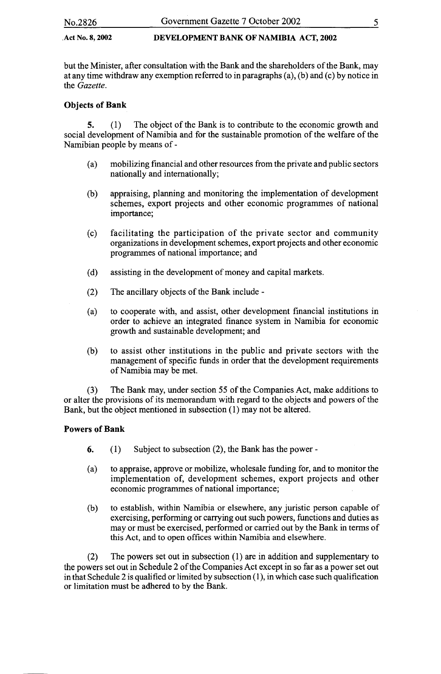but the Minister, after consultation with the Bank and the shareholders of the Bank, may at any time withdraw any exemption referred to in paragraphs (a), (b) and (c) by notice in the *Gazette.* 

# Objects of Bank

5. (1) The object of the Bank is to contribute to the economic growth and social development of Namibia and for the sustainable promotion of the welfare of the Namibian people by means of-

- (a) mobilizing financial and other resources from the private and public sectors nationally and internationally;
- (b) appraising, planning and monitoring the implementation of development schemes, export projects and other economic programmes of national importance;
- (c) facilitating the participation of the private sector and community organizations in development schemes, export projects and other economic programmes of national importance; and
- (d) assisting in the development of money and capital markets.
- (2) The ancillary objects of the Bank include-
- (a) to cooperate with, and assist, other development financial institutions in order to achieve an integrated finance system in Namibia for economic growth and sustainable development; and
- (b) to assist other institutions in the public and private sectors with the management of specific funds in order that the development requirements of Namibia may be met.

(3) The Bank may, under section 55 of the Companies Act, make additions to or alter the provisions of its memorandum with regard to the objects and powers of the Bank, but the object mentioned in subsection (1) may not be altered.

# Powers of Bank

- 6. (1) Subject to subsection  $(2)$ , the Bank has the power-
- (a) to appraise, approve or mobilize, wholesale funding for, and to monitor the implementation of, development schemes, export projects and other economic programmes of national importance;
- (b) to establish, within Namibia or elsewhere, any juristic person capable of exercising, performing or carrying out such powers, functions and duties as may or must be exercised, performed or carried out by the Bank in terms of this Act, and to open offices within Namibia and elsewhere.

(2) The powers set out in subsection (1) are in addition and supplementary to the powers set out in Schedule 2 of the Companies Act except in so far as a power set out in that Schedule 2 is qualified or limited by subsection  $(1)$ , in which case such qualification or limitation must be adhered to by tbe Bank.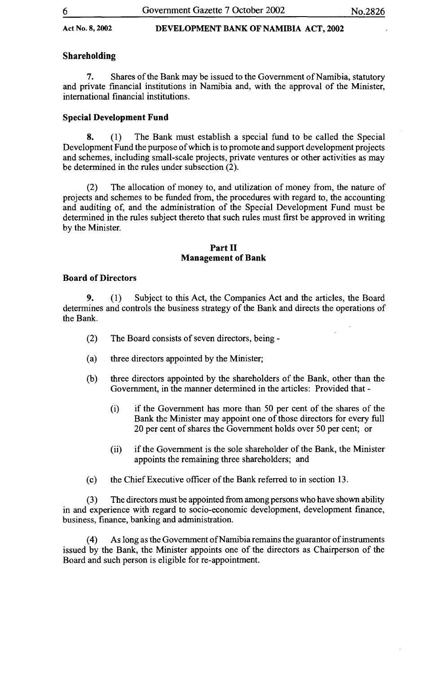# Shareholding

7. Shares of the Bank may be issued to the Government of Namibia, statutory and private financial institutions in Namibia and, with the approval of the Minister, international financial institutions.

# Special Development Fund

8. ( 1) The Bank must establish a special fund to be called the Special Development Fund the purpose of which is to promote and support development projects and schemes, including small-scale projects, private ventures or other activities as may be determined in the rules under subsection (2).

(2) The allocation of money to, and utilization of money from, the nature of projects and schemes to be funded from, the procedures with regard to, the accounting and auditing of, and the administration of the Special Development Fund must be determined in the rules subject thereto that such rules must first be approved in writing by the Minister.

# Part II Management of Bank

# Board of Directors

9. (1) Subject to this Act, the Companies Act and the articles, the Board determines and controls the business strategy of the Bank and directs the operations of the Bank.

- (2) The Board consists of seven directors, being -
- (a) three directors appointed by the Minister;
- (b) three directors appointed by the shareholders of the Bank, other than the Government, in the manner determined in the articles: Provided that -
	- (i) if the Government has more than 50 per cent of the shares of the Bank the Minister may appoint one of those directors for every full 20 per cent of shares the Government holds over 50 per cent; or
	- (ii) if the Government is the sole shareholder of the Bank, the Minister appoints the remaining three shareholders; and
- (c) the Chief Executive officer of the Bank referred to in section 13.

(3) The directors must be appointed from among persons who have shown ability in and experience with regard to socio-economic development, development finance, business, finance, banking and administration.

(4) As long as the Government of Namibia remains the guarantor of instruments issued by the Bank, the Minister appoints one of the directors as Chairperson of the Board and such person is eligible for re-appointment.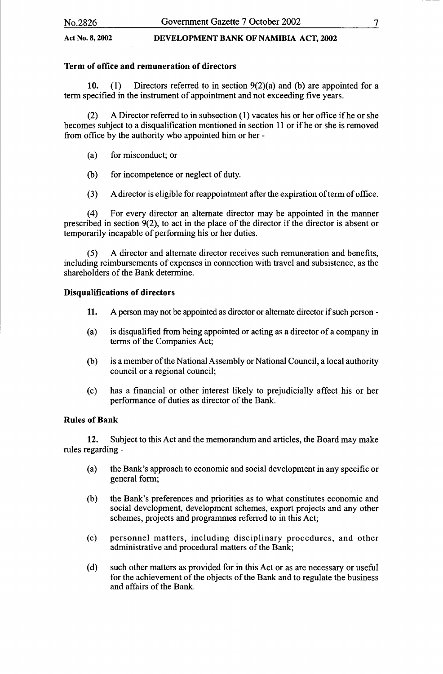# Term of office and remuneration of directors

10. (1) Directors referred to in section  $9(2)(a)$  and (b) are appointed for a term specified in the instrument of appointment and not exceeding five years.

(2) A Director referred to in subsection (1) vacates his or her office if he or she becomes subject to a disqualification mentioned in section 11 or if he or she is removed from office by the authority who appointed him or her -

- (a) for misconduct; or
- (b) for incompetence or neglect of duty.
- (3) A director is eligible for reappointment after the expiration of term of office.

(4) For every director an alternate director may be appointed in the manner prescribed in section 9(2), to act in the place of the director if the director is absent or temporarily incapable of performing his or her duties.

(5) A director and alternate director receives such remuneration and benefits, including reimbursements of expenses in connection with travel and subsistence, as the shareholders of the Bank determine.

# Disqualifications of directors

- 11. A person may not be appointed as director or alternate director if such person -
- (a) is disqualified from being appointed or acting as a director of a company in terms of the Companies Act;
- (b) is a member of the National Assembly or National Council, a local authority council or a regional council;
- (c) has a financial or other interest likely to prejudicially affect his or her performance of duties as director of the Bank.

# Rules of Bank

12. Subject to this Act and the memorandum and articles, the Board may make rules regarding -

- (a) the Bank's approach to economic and social development in any specific or general form;
- (b) the Bank's preferences and priorities as to what constitutes economic and social development, development schemes, export projects and any other schemes, projects and programmes referred to in this Act;
- (c) personnel matters, including disciplinary procedures, and other administrative and procedural matters of the Bank;
- (d) such other matters as provided for in this Act or as are necessary or useful for the achievement of the objects of the Bank and to regulate the business and affairs of the Bank.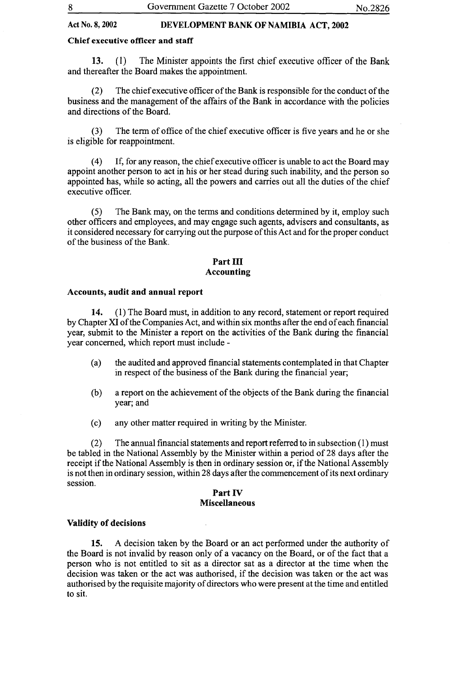# Chief executive officer and staff

13. (I) The Minister appoints the first chief executive officer of the Bank and thereafter the Board makes the appointment.

(2) The chief executive officer ofthe Bank is responsible for the conduct of the business and the management of the affairs of the Bank in accordance with the policies and directions of the Board.

(3) The term of office of the chief executive officer is five years and he or she is eligible for reappointment.

( 4) If, for any reason, the chief executive officer is unable to act the Board may appoint another person to act in his or her stead during such inability, and the person so appointed has, while so acting, all the powers and carries out all the duties of the chief executive officer.

(5) The Bank may, on the terms and conditions determined by it, employ such other officers and employees, and may engage such agents, advisers and consultants, as it considered necessary for carrying out the purpose of this Act and for the proper conduct of the business of the Bank.

## Part III Accounting

## Accounts, audit and annual report

14. (1) The Board must, in addition to any record, statement or report required by Chapter XI of the Companies Act, and within six months after the end of each financial year, submit to the Minister a report on the activities of the Bank during the financial year concerned, which report must include -

- (a) the audited and approved financial statements contemplated in that Chapter in respect of the business of the Bank during the financial year;
- (b) a report on the achievement of the objects of the Bank during the financial year; and
- (c) any other matter required in writing by the Minister.

(2) The annual financial statements and report referred to in subsection (I) must be tabled in the National Assembly by the Minister within a period of 28 days after the receipt if the National Assembly is then in ordinary session or, if the National Assembly is not then in ordinary session, within 28 days after the commencement of its next ordinary session.

#### Part IV Miscellaneous

#### Validity of decisions

15. A decision taken by the Board or an act performed under the authority of the Board is not invalid by reason only of a vacancy on the Board, or of the fact that a person who is not entitled to sit as a director sat as a director at the time when the decision was taken or the act was authorised, if the decision was taken or the act was authorised by the requisite majority of directors who were present at the time and entitled to sit.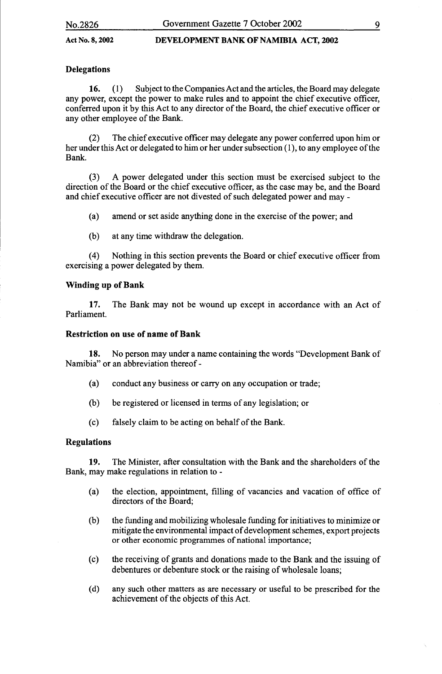# **Delegations**

16. ( 1) Subject to the Companies Act and the articles, the Board may delegate any power, except the power to make rules and to appoint the chief executive officer, conferred upon it by this Act to any director of the Board, the chief executive officer or any other employee of the Bank.

(2) The chief executive officer may delegate any power conferred upon him or her under this Act or delegated to him or her under subsection (1), to any employee of the Bank.

(3) A power delegated under this section must be exercised subject to the direction of the Board or the chief executive officer, as the case may be, and the Board and chief executive officer are not divested of such delegated power and may -

(a) amend or set aside anything done in the exercise of the power; and

(b) at any time withdraw the delegation.

(4) Nothing in this section prevents the Board or chief executive officer from exercising a power delegated by them.

# Winding up of Bank

17. The Bank may not be wound up except in accordance with an Act of Parliament.

# Restriction on use of name of Bank

18. No person may under a name containing the words "Development Bank of Namibia" or an abbreviation thereof-

- (a) conduct any business or carry on any occupation or trade;
- (b) be registered or licensed in terms of any legislation; or
- (c) falsely claim to be acting on behalf of the Bank.

# Regulations

19. The Minister, after consultation with the Bank and the shareholders of the Bank, may make regulations in relation to -

- (a) the election, appointment, filling of vacancies and vacation of office of directors of the Board;
- (b) the funding and mobilizing wholesale funding for initiatives to minimize or mitigate the environmental impact of development schemes, export projects or other economic programmes of national importance;
- (c) the receiving of grants and donations made to the Bank and the issuing of debentures or debenture stock or the raising of wholesale loans;
- (d) any such other matters as are necessary or useful to be prescribed for the achievement of the objects of this Act.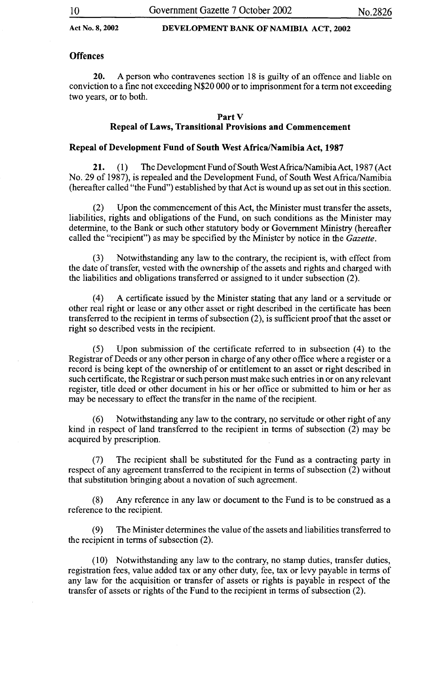### **Offences**

20. A person who contravenes section 18 is guilty of an offence and liable on conviction to a fine not exceeding N\$20 000 or to imprisonment for a term not exceeding two years, or to both.

#### Part V

# Repeal of Laws, Transitional Provisions and Commencement

#### Repeal of Development Fund of South West Africa/Namibia Act, 1987

21. (1) The Development Fund of South West Africa/Namibia Act, 1987 (Act No. 29 of 1987), is repealed and the Development Fund, of South WestAfrica/Namibia (hereafter called "the Fund") established by that Act is wound up as set out in this section.

(2) Upon the commencement of this Act, the Minister must transfer the assets, liabilities, rights and obligations of the Fund, on such conditions as the Minister may determine, to the Bank or such other statutory body or Government Ministry (hereafter called the "recipient") as may be specified by the Minister by notice in the *Gazette.* 

(3) Notwithstanding any law to the contrary, the recipient is, with effect from the date of transfer, vested with the ownership of the assets and rights and charged with the liabilities and obligations transferred or assigned to it under subsection (2).

(4) A certificate issued by the Minister stating that any land or a servitude or other real right or lease or any other asset or right described in the certificate has been transferred to the recipient in terms of subsection (2), is sufficient proof that the asset or right so described vests in the recipient.

(5) Upon submission of the certificate referred to in subsection (4) to the Registrar of Deeds or any other person in charge of any other office where a register or a record is being kept of the ownership of or entitlement to an asset or right described in such certificate, the Registrar or such person must make such entries in or on any relevant register, title deed or other document in his or her office or submitted to him or her as may be necessary to effect the transfer in the name of the recipient.

(6) Notwithstanding any law to the contrary, no servitude or other right of any kind in respect of land transferred to the recipient in terms of subsection (2) may be acquired by prescription.

(7) The recipient shall be substituted for the Fund as a contracting party in respect of any agreement transferred to the recipient in terms of subsection (2) without that substitution bringing about a novation of such agreement.

(8) Any reference in any law or document to the Fund is to be construed as a reference to the recipient.

(9) The Minister determines the value of the assets and liabilities transferred to the recipient in terms of subsection (2).

(10) Notwithstanding any law to the contrary, no stamp duties, transfer duties, registration fees, value added tax or any other duty, fee, tax or levy payable in terms of any law for the acquisition or transfer of assets or rights is payable in respect of the transfer of assets or rights of the Fund to the recipient in terms of subsection (2).